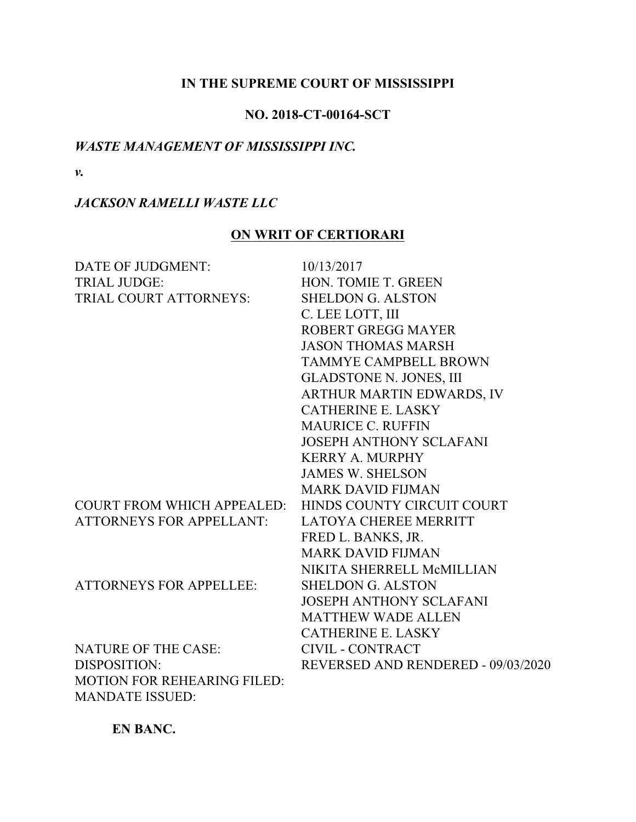## **IN THE SUPREME COURT OF MISSISSIPPI**

## **NO. 2018-CT-00164-SCT**

## *WASTE MANAGEMENT OF MISSISSIPPI INC.*

*v.*

# *JACKSON RAMELLI WASTE LLC*

# **ON WRIT OF CERTIORARI**

| DATE OF JUDGMENT:                  | 10/13/2017                         |
|------------------------------------|------------------------------------|
| <b>TRIAL JUDGE:</b>                | HON. TOMIE T. GREEN                |
| TRIAL COURT ATTORNEYS:             | <b>SHELDON G. ALSTON</b>           |
|                                    | C. LEE LOTT, III                   |
|                                    | <b>ROBERT GREGG MAYER</b>          |
|                                    | <b>JASON THOMAS MARSH</b>          |
|                                    | <b>TAMMYE CAMPBELL BROWN</b>       |
|                                    | <b>GLADSTONE N. JONES, III</b>     |
|                                    | ARTHUR MARTIN EDWARDS, IV          |
|                                    | <b>CATHERINE E. LASKY</b>          |
|                                    | <b>MAURICE C. RUFFIN</b>           |
|                                    | <b>JOSEPH ANTHONY SCLAFANI</b>     |
|                                    | <b>KERRY A. MURPHY</b>             |
|                                    | <b>JAMES W. SHELSON</b>            |
|                                    | <b>MARK DAVID FIJMAN</b>           |
| <b>COURT FROM WHICH APPEALED:</b>  | HINDS COUNTY CIRCUIT COURT         |
| <b>ATTORNEYS FOR APPELLANT:</b>    | <b>LATOYA CHEREE MERRITT</b>       |
|                                    | FRED L. BANKS, JR.                 |
|                                    | <b>MARK DAVID FIJMAN</b>           |
|                                    | NIKITA SHERRELL McMILLIAN          |
| <b>ATTORNEYS FOR APPELLEE:</b>     | <b>SHELDON G. ALSTON</b>           |
|                                    | <b>JOSEPH ANTHONY SCLAFANI</b>     |
|                                    | <b>MATTHEW WADE ALLEN</b>          |
|                                    | <b>CATHERINE E. LASKY</b>          |
| <b>NATURE OF THE CASE:</b>         | <b>CIVIL - CONTRACT</b>            |
| DISPOSITION:                       | REVERSED AND RENDERED - 09/03/2020 |
| <b>MOTION FOR REHEARING FILED:</b> |                                    |
| <b>MANDATE ISSUED:</b>             |                                    |

**EN BANC.**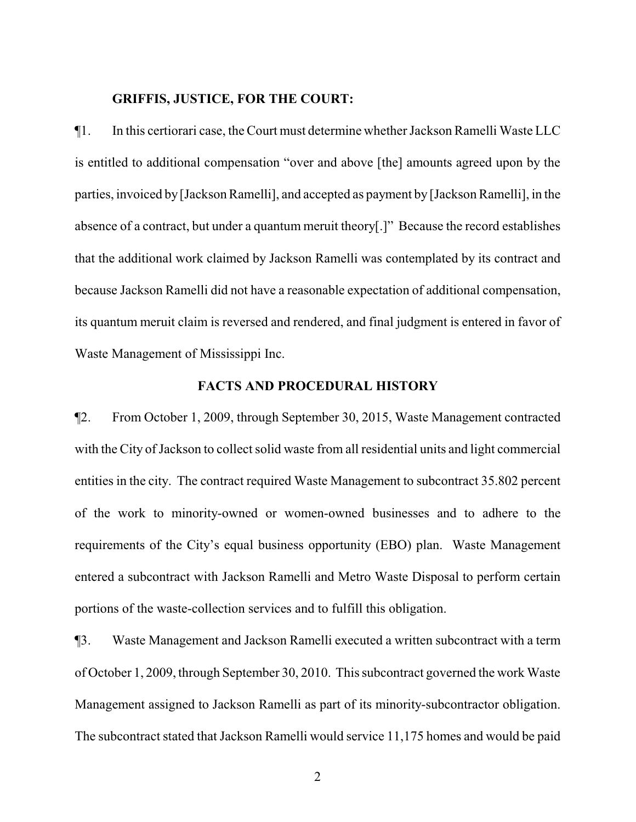## **GRIFFIS, JUSTICE, FOR THE COURT:**

¶1. In this certiorari case, the Court must determine whether Jackson Ramelli Waste LLC is entitled to additional compensation "over and above [the] amounts agreed upon by the parties, invoiced by [Jackson Ramelli], and accepted as payment by [Jackson Ramelli], in the absence of a contract, but under a quantum meruit theory[.]" Because the record establishes that the additional work claimed by Jackson Ramelli was contemplated by its contract and because Jackson Ramelli did not have a reasonable expectation of additional compensation, its quantum meruit claim is reversed and rendered, and final judgment is entered in favor of Waste Management of Mississippi Inc.

### **FACTS AND PROCEDURAL HISTORY**

¶2. From October 1, 2009, through September 30, 2015, Waste Management contracted with the City of Jackson to collect solid waste from all residential units and light commercial entities in the city. The contract required Waste Management to subcontract 35.802 percent of the work to minority-owned or women-owned businesses and to adhere to the requirements of the City's equal business opportunity (EBO) plan. Waste Management entered a subcontract with Jackson Ramelli and Metro Waste Disposal to perform certain portions of the waste-collection services and to fulfill this obligation.

¶3. Waste Management and Jackson Ramelli executed a written subcontract with a term of October 1, 2009, through September 30, 2010. This subcontract governed the work Waste Management assigned to Jackson Ramelli as part of its minority-subcontractor obligation. The subcontract stated that Jackson Ramelli would service 11,175 homes and would be paid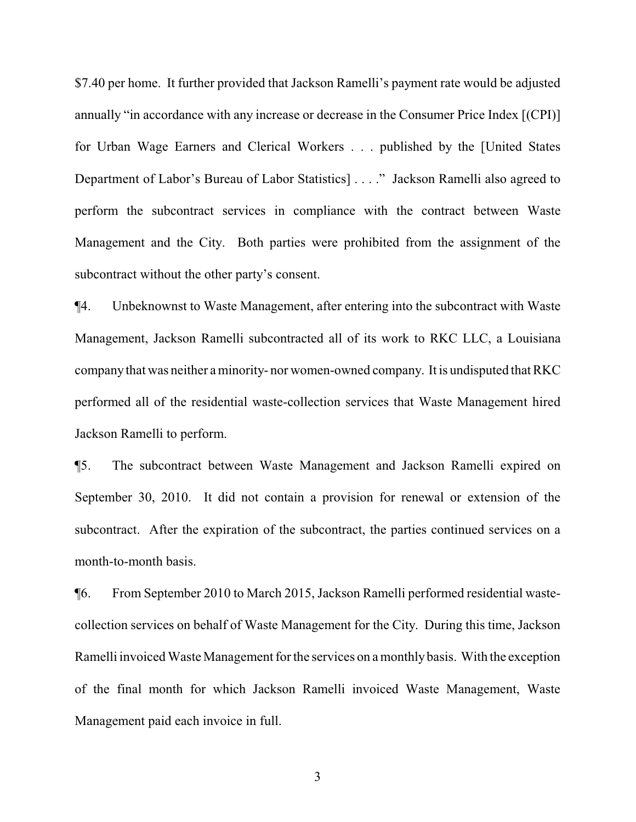\$7.40 per home. It further provided that Jackson Ramelli's payment rate would be adjusted annually "in accordance with any increase or decrease in the Consumer Price Index [(CPI)] for Urban Wage Earners and Clerical Workers . . . published by the [United States Department of Labor's Bureau of Labor Statistics] . . . ." Jackson Ramelli also agreed to perform the subcontract services in compliance with the contract between Waste Management and the City. Both parties were prohibited from the assignment of the subcontract without the other party's consent.

¶4. Unbeknownst to Waste Management, after entering into the subcontract with Waste Management, Jackson Ramelli subcontracted all of its work to RKC LLC, a Louisiana companythat was neither a minority- nor women-owned company. It is undisputed that RKC performed all of the residential waste-collection services that Waste Management hired Jackson Ramelli to perform.

¶5. The subcontract between Waste Management and Jackson Ramelli expired on September 30, 2010. It did not contain a provision for renewal or extension of the subcontract. After the expiration of the subcontract, the parties continued services on a month-to-month basis.

¶6. From September 2010 to March 2015, Jackson Ramelli performed residential wastecollection services on behalf of Waste Management for the City. During this time, Jackson Ramelli invoiced Waste Management for the services on a monthlybasis. With the exception of the final month for which Jackson Ramelli invoiced Waste Management, Waste Management paid each invoice in full.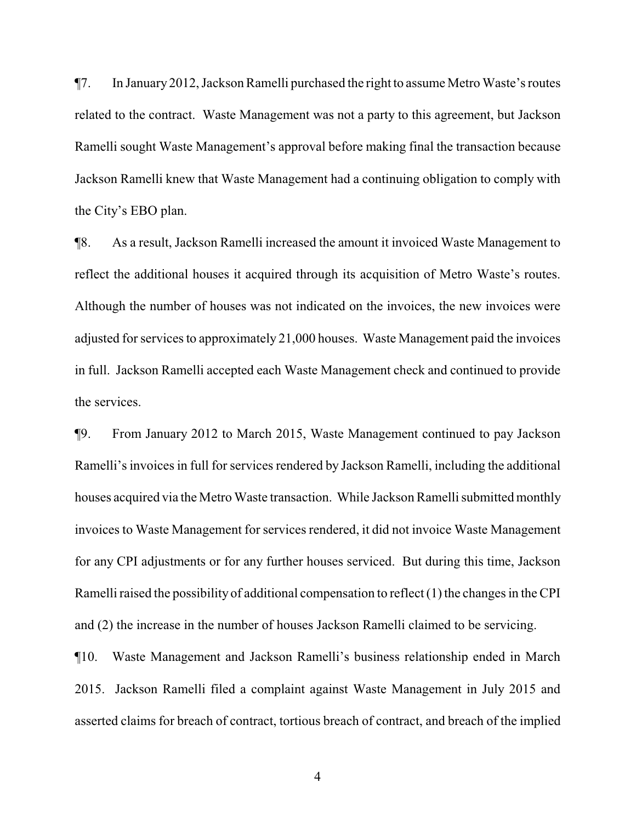¶7. In January 2012, Jackson Ramelli purchased the right to assume Metro Waste's routes related to the contract. Waste Management was not a party to this agreement, but Jackson Ramelli sought Waste Management's approval before making final the transaction because Jackson Ramelli knew that Waste Management had a continuing obligation to comply with the City's EBO plan.

¶8. As a result, Jackson Ramelli increased the amount it invoiced Waste Management to reflect the additional houses it acquired through its acquisition of Metro Waste's routes. Although the number of houses was not indicated on the invoices, the new invoices were adjusted for services to approximately 21,000 houses. Waste Management paid the invoices in full. Jackson Ramelli accepted each Waste Management check and continued to provide the services.

¶9. From January 2012 to March 2015, Waste Management continued to pay Jackson Ramelli's invoices in full for services rendered by Jackson Ramelli, including the additional houses acquired via the Metro Waste transaction. While Jackson Ramelli submitted monthly invoices to Waste Management for services rendered, it did not invoice Waste Management for any CPI adjustments or for any further houses serviced. But during this time, Jackson Ramelli raised the possibility of additional compensation to reflect (1) the changes in the CPI and (2) the increase in the number of houses Jackson Ramelli claimed to be servicing.

¶10. Waste Management and Jackson Ramelli's business relationship ended in March 2015. Jackson Ramelli filed a complaint against Waste Management in July 2015 and asserted claims for breach of contract, tortious breach of contract, and breach of the implied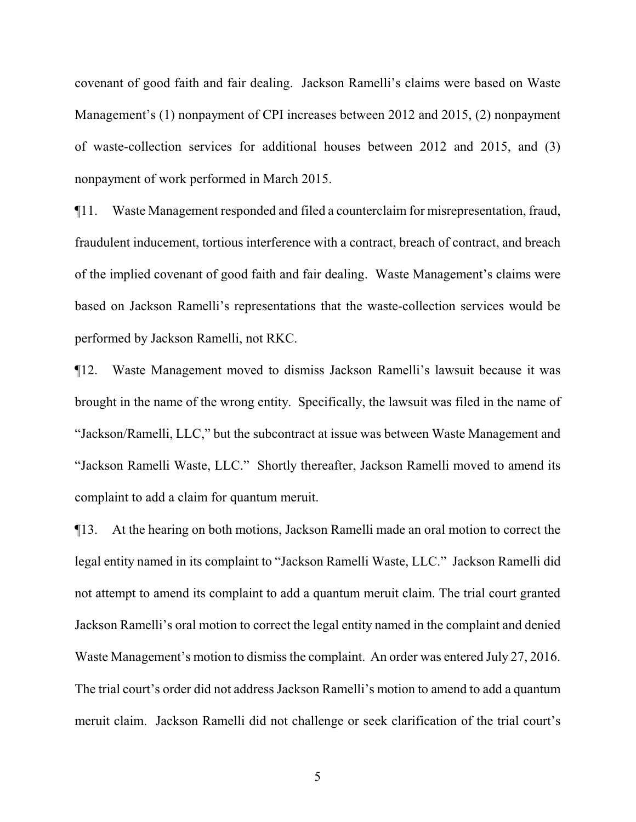covenant of good faith and fair dealing. Jackson Ramelli's claims were based on Waste Management's (1) nonpayment of CPI increases between 2012 and 2015, (2) nonpayment of waste-collection services for additional houses between 2012 and 2015, and (3) nonpayment of work performed in March 2015.

¶11. Waste Management responded and filed a counterclaim for misrepresentation, fraud, fraudulent inducement, tortious interference with a contract, breach of contract, and breach of the implied covenant of good faith and fair dealing. Waste Management's claims were based on Jackson Ramelli's representations that the waste-collection services would be performed by Jackson Ramelli, not RKC.

¶12. Waste Management moved to dismiss Jackson Ramelli's lawsuit because it was brought in the name of the wrong entity. Specifically, the lawsuit was filed in the name of "Jackson/Ramelli, LLC," but the subcontract at issue was between Waste Management and "Jackson Ramelli Waste, LLC." Shortly thereafter, Jackson Ramelli moved to amend its complaint to add a claim for quantum meruit.

¶13. At the hearing on both motions, Jackson Ramelli made an oral motion to correct the legal entity named in its complaint to "Jackson Ramelli Waste, LLC." Jackson Ramelli did not attempt to amend its complaint to add a quantum meruit claim. The trial court granted Jackson Ramelli's oral motion to correct the legal entity named in the complaint and denied Waste Management's motion to dismiss the complaint. An order was entered July 27, 2016. The trial court's order did not address Jackson Ramelli's motion to amend to add a quantum meruit claim. Jackson Ramelli did not challenge or seek clarification of the trial court's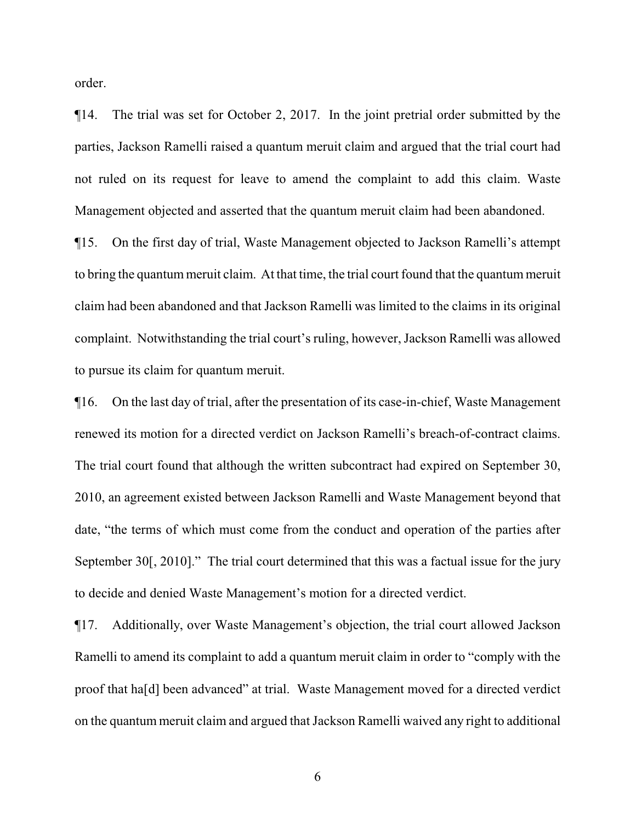order.

¶14. The trial was set for October 2, 2017. In the joint pretrial order submitted by the parties, Jackson Ramelli raised a quantum meruit claim and argued that the trial court had not ruled on its request for leave to amend the complaint to add this claim. Waste Management objected and asserted that the quantum meruit claim had been abandoned.

¶15. On the first day of trial, Waste Management objected to Jackson Ramelli's attempt to bring the quantum meruit claim. At that time, the trial court found that the quantum meruit claim had been abandoned and that Jackson Ramelli was limited to the claims in its original complaint. Notwithstanding the trial court's ruling, however, Jackson Ramelli was allowed to pursue its claim for quantum meruit.

¶16. On the last day of trial, after the presentation of its case-in-chief, Waste Management renewed its motion for a directed verdict on Jackson Ramelli's breach-of-contract claims. The trial court found that although the written subcontract had expired on September 30, 2010, an agreement existed between Jackson Ramelli and Waste Management beyond that date, "the terms of which must come from the conduct and operation of the parties after September 30<sup>[</sup>, 2010]." The trial court determined that this was a factual issue for the jury to decide and denied Waste Management's motion for a directed verdict.

¶17. Additionally, over Waste Management's objection, the trial court allowed Jackson Ramelli to amend its complaint to add a quantum meruit claim in order to "comply with the proof that ha[d] been advanced" at trial. Waste Management moved for a directed verdict on the quantum meruit claim and argued that Jackson Ramelli waived any right to additional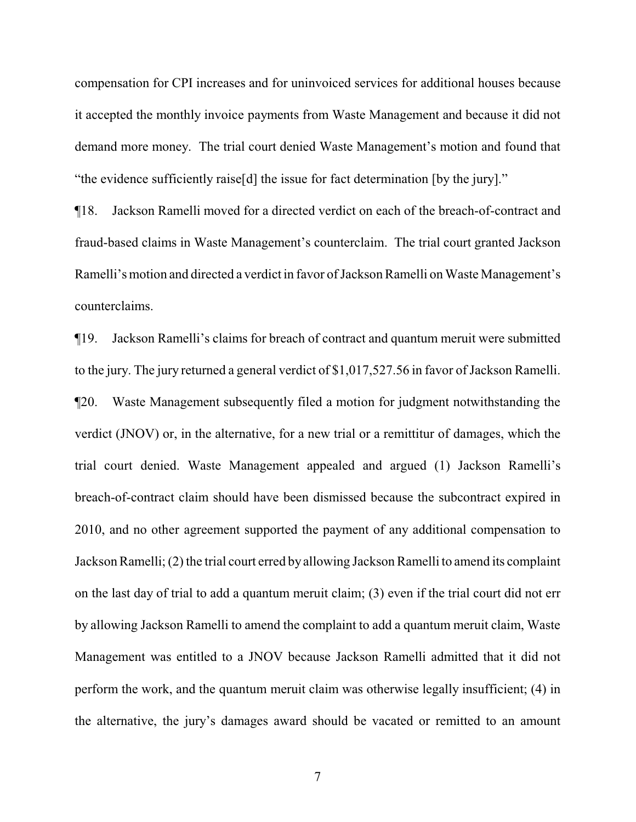compensation for CPI increases and for uninvoiced services for additional houses because it accepted the monthly invoice payments from Waste Management and because it did not demand more money. The trial court denied Waste Management's motion and found that "the evidence sufficiently raise[d] the issue for fact determination [by the jury]."

¶18. Jackson Ramelli moved for a directed verdict on each of the breach-of-contract and fraud-based claims in Waste Management's counterclaim. The trial court granted Jackson Ramelli's motion and directed a verdict in favor of Jackson Ramelli on Waste Management's counterclaims.

¶19. Jackson Ramelli's claims for breach of contract and quantum meruit were submitted to the jury. The jury returned a general verdict of \$1,017,527.56 in favor of Jackson Ramelli. ¶20. Waste Management subsequently filed a motion for judgment notwithstanding the verdict (JNOV) or, in the alternative, for a new trial or a remittitur of damages, which the trial court denied. Waste Management appealed and argued (1) Jackson Ramelli's breach-of-contract claim should have been dismissed because the subcontract expired in 2010, and no other agreement supported the payment of any additional compensation to Jackson Ramelli; (2) the trial court erred by allowing Jackson Ramelli to amend its complaint on the last day of trial to add a quantum meruit claim; (3) even if the trial court did not err by allowing Jackson Ramelli to amend the complaint to add a quantum meruit claim, Waste Management was entitled to a JNOV because Jackson Ramelli admitted that it did not perform the work, and the quantum meruit claim was otherwise legally insufficient; (4) in the alternative, the jury's damages award should be vacated or remitted to an amount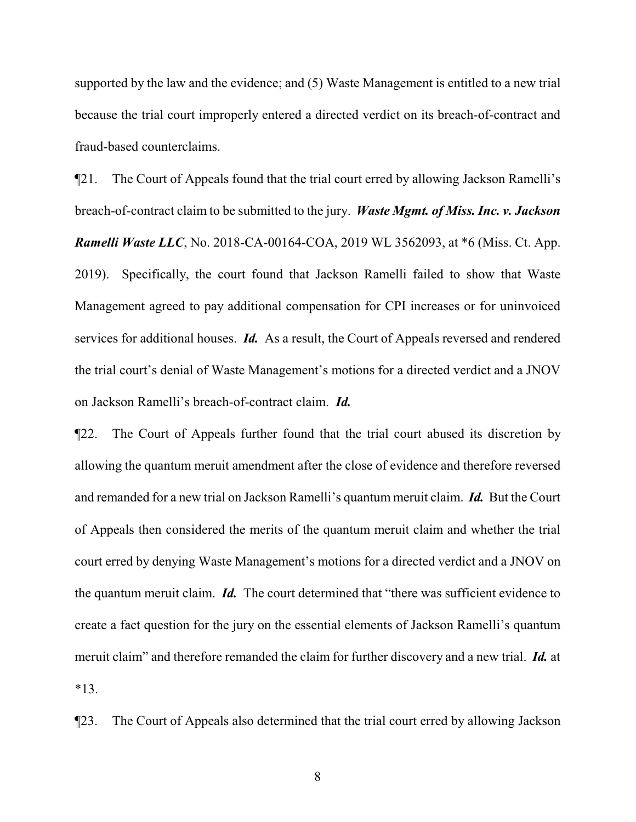supported by the law and the evidence; and (5) Waste Management is entitled to a new trial because the trial court improperly entered a directed verdict on its breach-of-contract and fraud-based counterclaims.

¶21. The Court of Appeals found that the trial court erred by allowing Jackson Ramelli's breach-of-contract claim to be submitted to the jury. *Waste Mgmt. of Miss. Inc. v. Jackson Ramelli Waste LLC*, No. 2018-CA-00164-COA, 2019 WL 3562093, at \*6 (Miss. Ct. App. 2019). Specifically, the court found that Jackson Ramelli failed to show that Waste Management agreed to pay additional compensation for CPI increases or for uninvoiced services for additional houses. *Id.* As a result, the Court of Appeals reversed and rendered the trial court's denial of Waste Management's motions for a directed verdict and a JNOV on Jackson Ramelli's breach-of-contract claim. *Id.*

¶22. The Court of Appeals further found that the trial court abused its discretion by allowing the quantum meruit amendment after the close of evidence and therefore reversed and remanded for a new trial on Jackson Ramelli's quantum meruit claim. *Id.* But the Court of Appeals then considered the merits of the quantum meruit claim and whether the trial court erred by denying Waste Management's motions for a directed verdict and a JNOV on the quantum meruit claim. *Id.* The court determined that "there was sufficient evidence to create a fact question for the jury on the essential elements of Jackson Ramelli's quantum meruit claim" and therefore remanded the claim for further discovery and a new trial. *Id.* at \*13.

¶23. The Court of Appeals also determined that the trial court erred by allowing Jackson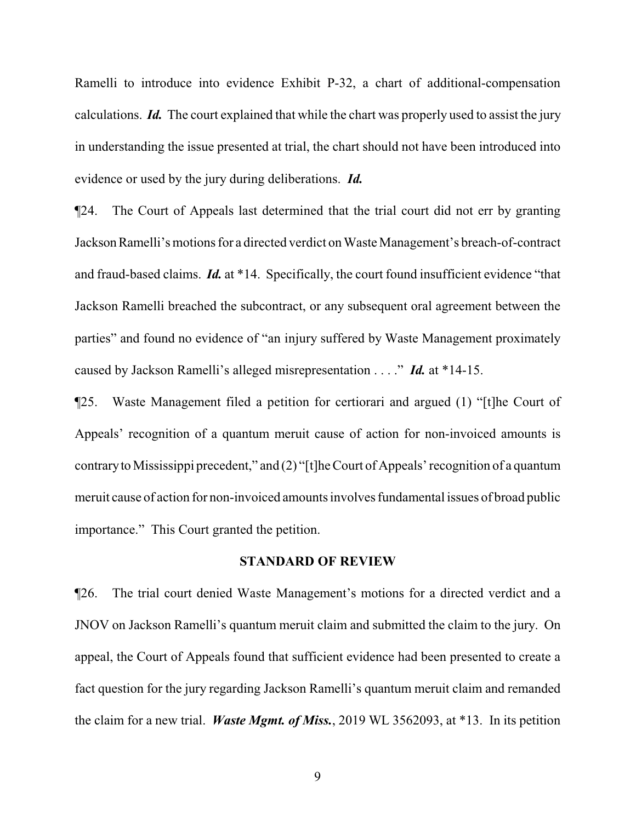Ramelli to introduce into evidence Exhibit P-32, a chart of additional-compensation calculations. *Id.* The court explained that while the chart was properly used to assist the jury in understanding the issue presented at trial, the chart should not have been introduced into evidence or used by the jury during deliberations. *Id.*

¶24. The Court of Appeals last determined that the trial court did not err by granting JacksonRamelli's motions for a directed verdict on Waste Management's breach-of-contract and fraud-based claims. *Id.* at \*14. Specifically, the court found insufficient evidence "that Jackson Ramelli breached the subcontract, or any subsequent oral agreement between the parties" and found no evidence of "an injury suffered by Waste Management proximately caused by Jackson Ramelli's alleged misrepresentation . . . ." *Id.* at \*14-15.

¶25. Waste Management filed a petition for certiorari and argued (1) "[t]he Court of Appeals' recognition of a quantum meruit cause of action for non-invoiced amounts is contraryto Mississippi precedent," and (2) "[t]he Court of Appeals' recognition of a quantum meruit cause of action for non-invoiced amounts involves fundamental issues of broad public importance." This Court granted the petition.

## **STANDARD OF REVIEW**

¶26. The trial court denied Waste Management's motions for a directed verdict and a JNOV on Jackson Ramelli's quantum meruit claim and submitted the claim to the jury. On appeal, the Court of Appeals found that sufficient evidence had been presented to create a fact question for the jury regarding Jackson Ramelli's quantum meruit claim and remanded the claim for a new trial. *Waste Mgmt. of Miss.*, 2019 WL 3562093, at \*13. In its petition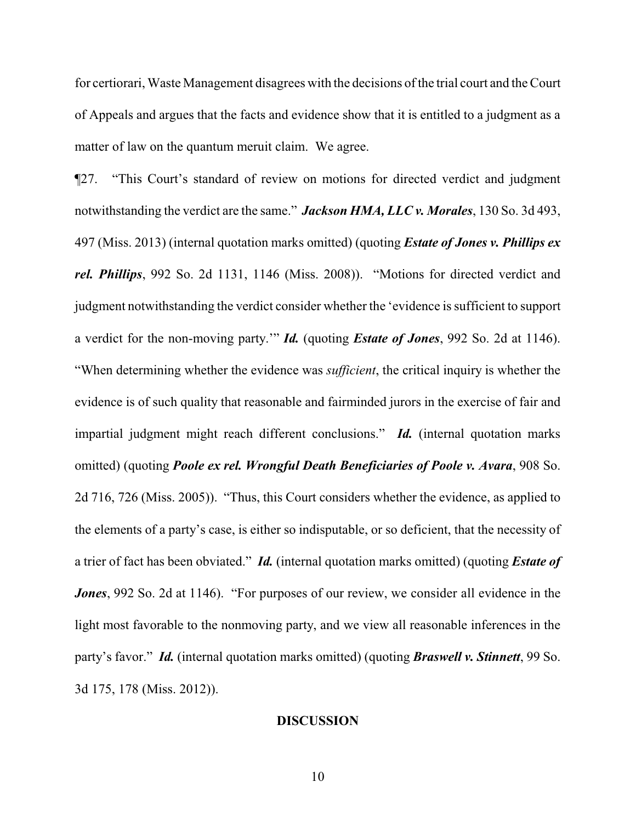for certiorari, Waste Management disagrees with the decisions of the trial court and the Court of Appeals and argues that the facts and evidence show that it is entitled to a judgment as a matter of law on the quantum meruit claim. We agree.

¶27. "This Court's standard of review on motions for directed verdict and judgment notwithstanding the verdict are the same." *Jackson HMA, LLC v. Morales*, 130 So. 3d 493, 497 (Miss. 2013) (internal quotation marks omitted) (quoting *Estate of Jones v. Phillips ex rel. Phillips*, 992 So. 2d 1131, 1146 (Miss. 2008)). "Motions for directed verdict and judgment notwithstanding the verdict consider whether the 'evidence is sufficient to support a verdict for the non-moving party.'" *Id.* (quoting *Estate of Jones*, 992 So. 2d at 1146). "When determining whether the evidence was *sufficient*, the critical inquiry is whether the evidence is of such quality that reasonable and fairminded jurors in the exercise of fair and impartial judgment might reach different conclusions." *Id.* (internal quotation marks omitted) (quoting *Poole ex rel. Wrongful Death Beneficiaries of Poole v. Avara*, 908 So. 2d 716, 726 (Miss. 2005)). "Thus, this Court considers whether the evidence, as applied to the elements of a party's case, is either so indisputable, or so deficient, that the necessity of a trier of fact has been obviated." *Id.* (internal quotation marks omitted) (quoting *Estate of Jones*, 992 So. 2d at 1146). "For purposes of our review, we consider all evidence in the light most favorable to the nonmoving party, and we view all reasonable inferences in the party's favor." *Id.* (internal quotation marks omitted) (quoting *Braswell v. Stinnett*, 99 So. 3d 175, 178 (Miss. 2012)).

### **DISCUSSION**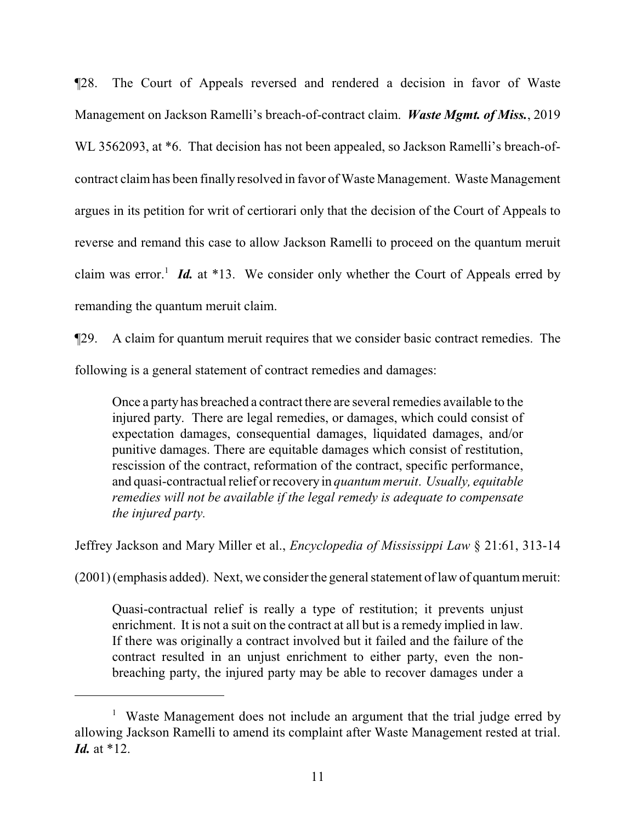¶28. The Court of Appeals reversed and rendered a decision in favor of Waste Management on Jackson Ramelli's breach-of-contract claim. *Waste Mgmt. of Miss.*, 2019 WL 3562093, at \*6. That decision has not been appealed, so Jackson Ramelli's breach-ofcontract claim has been finally resolved in favor of Waste Management. Waste Management argues in its petition for writ of certiorari only that the decision of the Court of Appeals to reverse and remand this case to allow Jackson Ramelli to proceed on the quantum meruit claim was error.<sup>1</sup> Id. at \*13. We consider only whether the Court of Appeals erred by remanding the quantum meruit claim.

¶29. A claim for quantum meruit requires that we consider basic contract remedies. The following is a general statement of contract remedies and damages:

Once a party has breached a contract there are several remedies available to the injured party. There are legal remedies, or damages, which could consist of expectation damages, consequential damages, liquidated damages, and/or punitive damages. There are equitable damages which consist of restitution, rescission of the contract, reformation of the contract, specific performance, and quasi-contractual relief or recovery in *quantum meruit*. *Usually, equitable remedies will not be available if the legal remedy is adequate to compensate the injured party.*

Jeffrey Jackson and Mary Miller et al., *Encyclopedia of Mississippi Law* § 21:61, 313-14

 $(2001)$  (emphasis added). Next, we consider the general statement of law of quantum meruit:

Quasi-contractual relief is really a type of restitution; it prevents unjust enrichment. It is not a suit on the contract at all but is a remedy implied in law. If there was originally a contract involved but it failed and the failure of the contract resulted in an unjust enrichment to either party, even the nonbreaching party, the injured party may be able to recover damages under a

<sup>&</sup>lt;sup>1</sup> Waste Management does not include an argument that the trial judge erred by allowing Jackson Ramelli to amend its complaint after Waste Management rested at trial. *Id.* at \*12.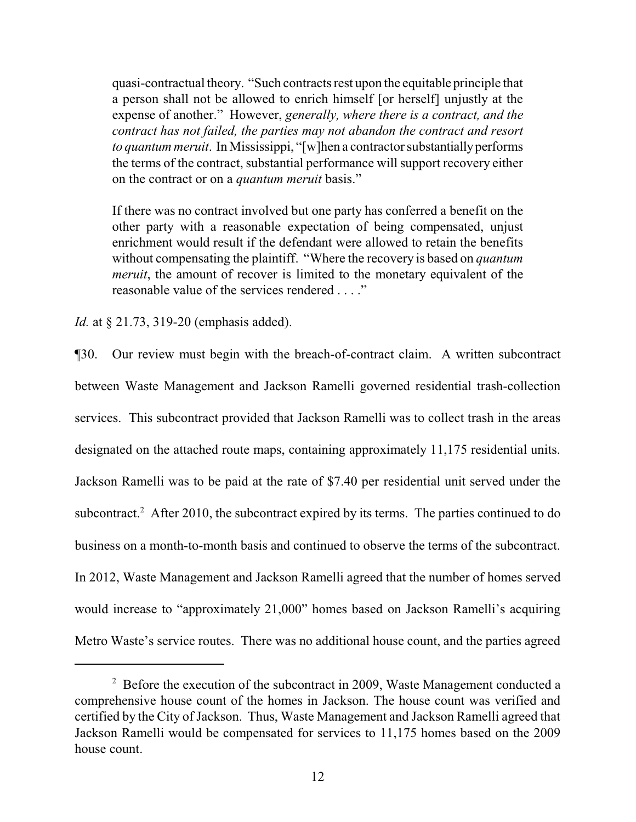quasi-contractual theory. "Such contracts rest upon the equitable principle that a person shall not be allowed to enrich himself [or herself] unjustly at the expense of another." However, *generally, where there is a contract, and the contract has not failed, the parties may not abandon the contract and resort to quantum meruit.* In Mississippi, "[w]hen a contractor substantially performs the terms of the contract, substantial performance will support recovery either on the contract or on a *quantum meruit* basis."

If there was no contract involved but one party has conferred a benefit on the other party with a reasonable expectation of being compensated, unjust enrichment would result if the defendant were allowed to retain the benefits without compensating the plaintiff. "Where the recovery is based on *quantum meruit*, the amount of recover is limited to the monetary equivalent of the reasonable value of the services rendered . . . ."

*Id.* at § 21.73, 319-20 (emphasis added).

¶30. Our review must begin with the breach-of-contract claim. A written subcontract between Waste Management and Jackson Ramelli governed residential trash-collection services. This subcontract provided that Jackson Ramelli was to collect trash in the areas designated on the attached route maps, containing approximately 11,175 residential units. Jackson Ramelli was to be paid at the rate of \$7.40 per residential unit served under the subcontract.<sup>2</sup> After 2010, the subcontract expired by its terms. The parties continued to do business on a month-to-month basis and continued to observe the terms of the subcontract. In 2012, Waste Management and Jackson Ramelli agreed that the number of homes served would increase to "approximately 21,000" homes based on Jackson Ramelli's acquiring Metro Waste's service routes. There was no additional house count, and the parties agreed

 $2^2$  Before the execution of the subcontract in 2009, Waste Management conducted a comprehensive house count of the homes in Jackson. The house count was verified and certified by the City of Jackson. Thus, Waste Management and Jackson Ramelli agreed that Jackson Ramelli would be compensated for services to 11,175 homes based on the 2009 house count.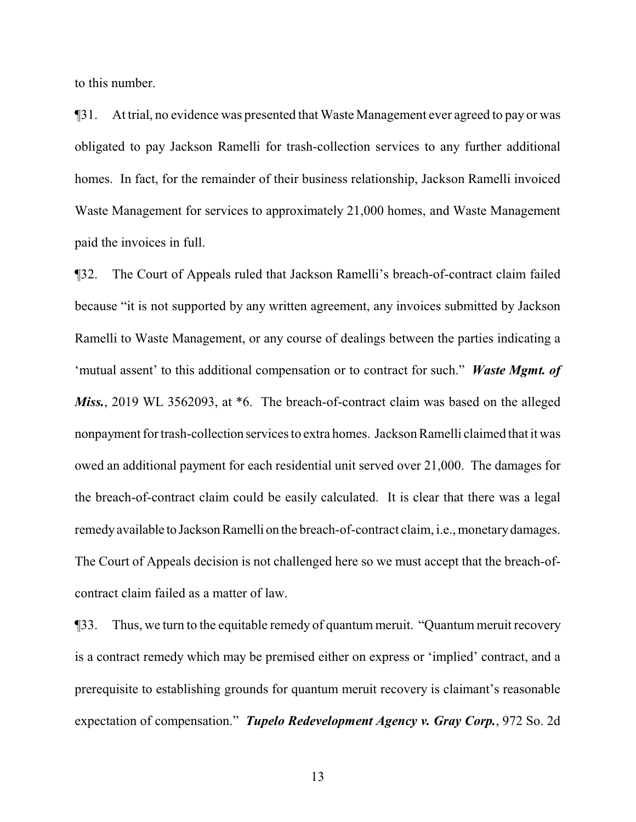to this number.

¶31. At trial, no evidence was presented that Waste Management ever agreed to pay or was obligated to pay Jackson Ramelli for trash-collection services to any further additional homes. In fact, for the remainder of their business relationship, Jackson Ramelli invoiced Waste Management for services to approximately 21,000 homes, and Waste Management paid the invoices in full.

¶32. The Court of Appeals ruled that Jackson Ramelli's breach-of-contract claim failed because "it is not supported by any written agreement, any invoices submitted by Jackson Ramelli to Waste Management, or any course of dealings between the parties indicating a 'mutual assent' to this additional compensation or to contract for such." *Waste Mgmt. of Miss.*, 2019 WL 3562093, at \*6. The breach-of-contract claim was based on the alleged nonpayment for trash-collection services to extra homes. Jackson Ramelli claimed that it was owed an additional payment for each residential unit served over 21,000. The damages for the breach-of-contract claim could be easily calculated. It is clear that there was a legal remedy available to Jackson Ramelli on the breach-of-contract claim, i.e., monetary damages. The Court of Appeals decision is not challenged here so we must accept that the breach-ofcontract claim failed as a matter of law.

¶33. Thus, we turn to the equitable remedy of quantum meruit. "Quantum meruit recovery is a contract remedy which may be premised either on express or 'implied' contract, and a prerequisite to establishing grounds for quantum meruit recovery is claimant's reasonable expectation of compensation." *Tupelo Redevelopment Agency v. Gray Corp.*, 972 So. 2d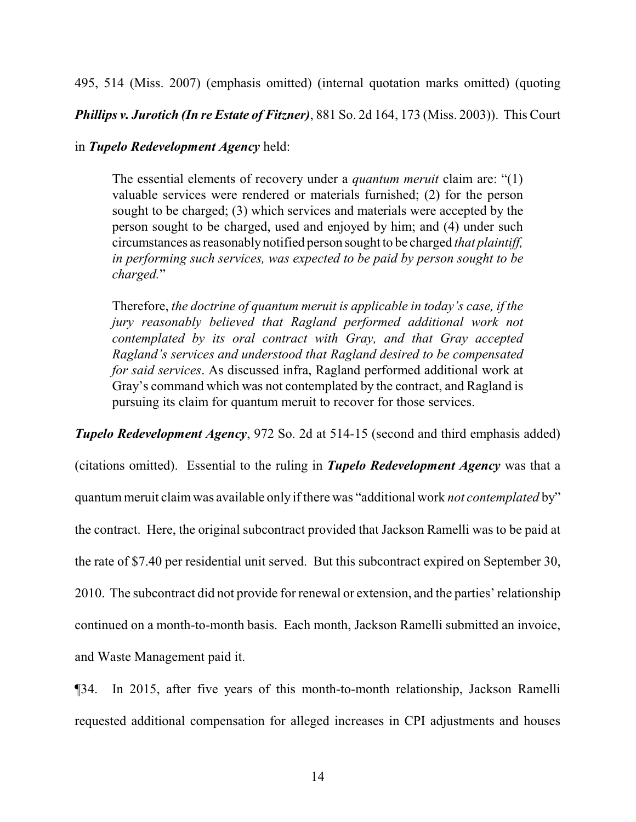495, 514 (Miss. 2007) (emphasis omitted) (internal quotation marks omitted) (quoting

*Phillips v. Jurotich (In re Estate of Fitzner)*, 881 So. 2d 164, 173 (Miss. 2003)). This Court

## in *Tupelo Redevelopment Agency* held:

The essential elements of recovery under a *quantum meruit* claim are: "(1) valuable services were rendered or materials furnished; (2) for the person sought to be charged; (3) which services and materials were accepted by the person sought to be charged, used and enjoyed by him; and (4) under such circumstances as reasonablynotified person sought to be charged *that plaintiff, in performing such services, was expected to be paid by person sought to be charged.*"

Therefore, *the doctrine of quantum meruit is applicable in today's case, if the jury reasonably believed that Ragland performed additional work not contemplated by its oral contract with Gray, and that Gray accepted Ragland's services and understood that Ragland desired to be compensated for said services*. As discussed infra, Ragland performed additional work at Gray's command which was not contemplated by the contract, and Ragland is pursuing its claim for quantum meruit to recover for those services.

*Tupelo Redevelopment Agency*, 972 So. 2d at 514-15 (second and third emphasis added)

(citations omitted). Essential to the ruling in *Tupelo Redevelopment Agency* was that a quantum meruit claimwas available only if there was "additional work *not contemplated* by" the contract. Here, the original subcontract provided that Jackson Ramelli was to be paid at the rate of \$7.40 per residential unit served. But this subcontract expired on September 30, 2010. The subcontract did not provide for renewal or extension, and the parties' relationship continued on a month-to-month basis. Each month, Jackson Ramelli submitted an invoice, and Waste Management paid it.

¶34. In 2015, after five years of this month-to-month relationship, Jackson Ramelli requested additional compensation for alleged increases in CPI adjustments and houses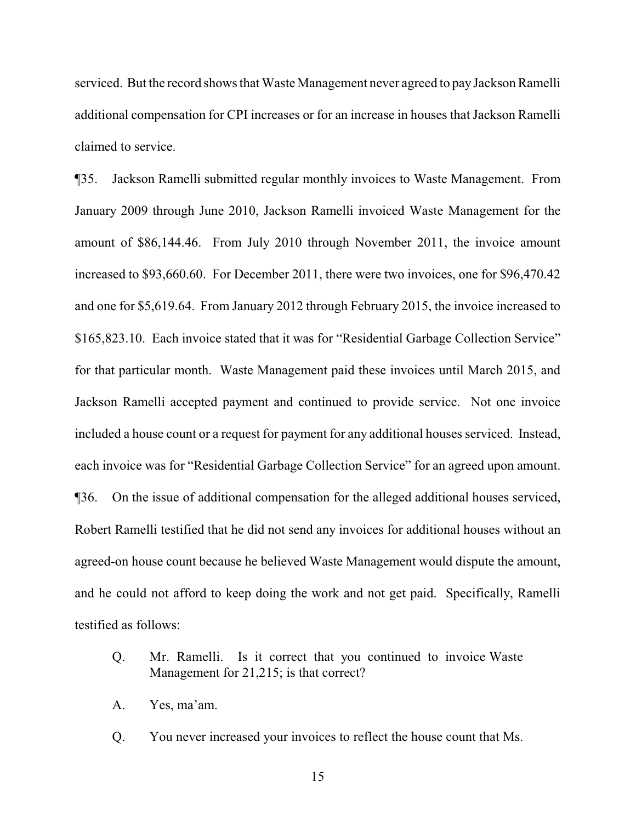serviced. But the record shows that Waste Management never agreed to pay Jackson Ramelli additional compensation for CPI increases or for an increase in houses that Jackson Ramelli claimed to service.

¶35. Jackson Ramelli submitted regular monthly invoices to Waste Management. From January 2009 through June 2010, Jackson Ramelli invoiced Waste Management for the amount of \$86,144.46. From July 2010 through November 2011, the invoice amount increased to \$93,660.60. For December 2011, there were two invoices, one for \$96,470.42 and one for \$5,619.64. From January 2012 through February 2015, the invoice increased to \$165,823.10. Each invoice stated that it was for "Residential Garbage Collection Service" for that particular month. Waste Management paid these invoices until March 2015, and Jackson Ramelli accepted payment and continued to provide service. Not one invoice included a house count or a request for payment for any additional houses serviced. Instead, each invoice was for "Residential Garbage Collection Service" for an agreed upon amount. ¶36. On the issue of additional compensation for the alleged additional houses serviced, Robert Ramelli testified that he did not send any invoices for additional houses without an agreed-on house count because he believed Waste Management would dispute the amount, and he could not afford to keep doing the work and not get paid. Specifically, Ramelli testified as follows:

- Q. Mr. Ramelli. Is it correct that you continued to invoice Waste Management for 21,215; is that correct?
- A. Yes, ma'am.
- Q. You never increased your invoices to reflect the house count that Ms.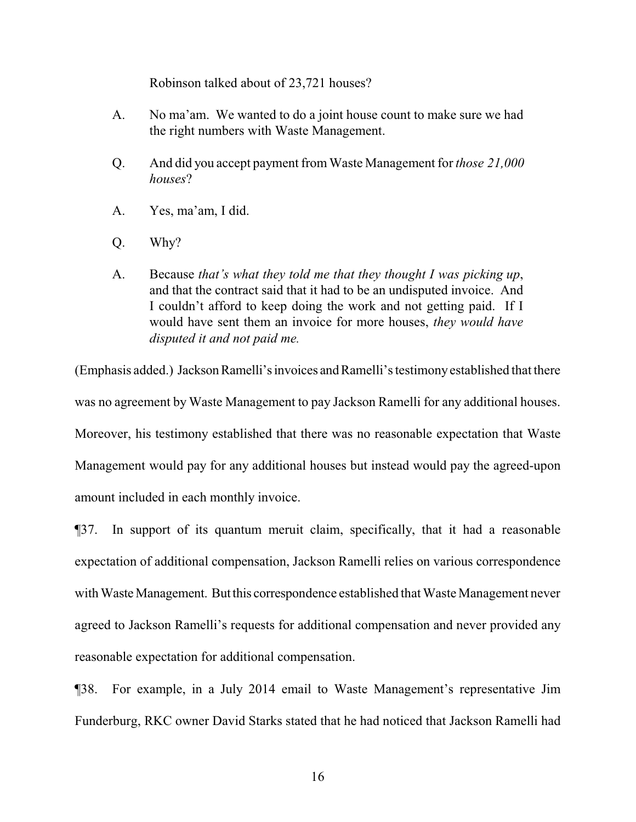Robinson talked about of 23,721 houses?

- A. No ma'am. We wanted to do a joint house count to make sure we had the right numbers with Waste Management.
- Q. And did you accept payment fromWaste Management for *those 21,000 houses*?
- A. Yes, ma'am, I did.
- Q. Why?
- A. Because *that's what they told me that they thought I was picking up*, and that the contract said that it had to be an undisputed invoice. And I couldn't afford to keep doing the work and not getting paid. If I would have sent them an invoice for more houses, *they would have disputed it and not paid me.*

(Emphasis added.) Jackson Ramelli's invoices and Ramelli's testimony established that there was no agreement by Waste Management to pay Jackson Ramelli for any additional houses. Moreover, his testimony established that there was no reasonable expectation that Waste Management would pay for any additional houses but instead would pay the agreed-upon amount included in each monthly invoice.

¶37. In support of its quantum meruit claim, specifically, that it had a reasonable expectation of additional compensation, Jackson Ramelli relies on various correspondence with Waste Management. But this correspondence established that Waste Management never agreed to Jackson Ramelli's requests for additional compensation and never provided any reasonable expectation for additional compensation.

¶38. For example, in a July 2014 email to Waste Management's representative Jim Funderburg, RKC owner David Starks stated that he had noticed that Jackson Ramelli had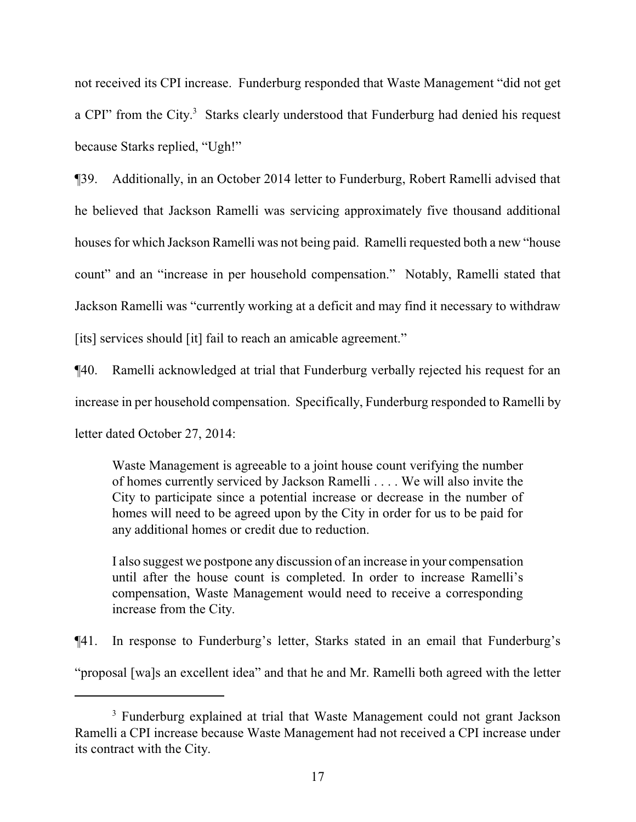not received its CPI increase. Funderburg responded that Waste Management "did not get a CPI" from the City.<sup>3</sup> Starks clearly understood that Funderburg had denied his request because Starks replied, "Ugh!"

¶39. Additionally, in an October 2014 letter to Funderburg, Robert Ramelli advised that he believed that Jackson Ramelli was servicing approximately five thousand additional houses for which Jackson Ramelli was not being paid. Ramelli requested both a new "house count" and an "increase in per household compensation." Notably, Ramelli stated that Jackson Ramelli was "currently working at a deficit and may find it necessary to withdraw [its] services should [it] fail to reach an amicable agreement."

¶40. Ramelli acknowledged at trial that Funderburg verbally rejected his request for an increase in per household compensation. Specifically, Funderburg responded to Ramelli by letter dated October 27, 2014:

Waste Management is agreeable to a joint house count verifying the number of homes currently serviced by Jackson Ramelli . . . . We will also invite the City to participate since a potential increase or decrease in the number of homes will need to be agreed upon by the City in order for us to be paid for any additional homes or credit due to reduction.

I also suggest we postpone any discussion of an increase in your compensation until after the house count is completed. In order to increase Ramelli's compensation, Waste Management would need to receive a corresponding increase from the City.

¶41. In response to Funderburg's letter, Starks stated in an email that Funderburg's "proposal [wa]s an excellent idea" and that he and Mr. Ramelli both agreed with the letter

<sup>&</sup>lt;sup>3</sup> Funderburg explained at trial that Waste Management could not grant Jackson Ramelli a CPI increase because Waste Management had not received a CPI increase under its contract with the City.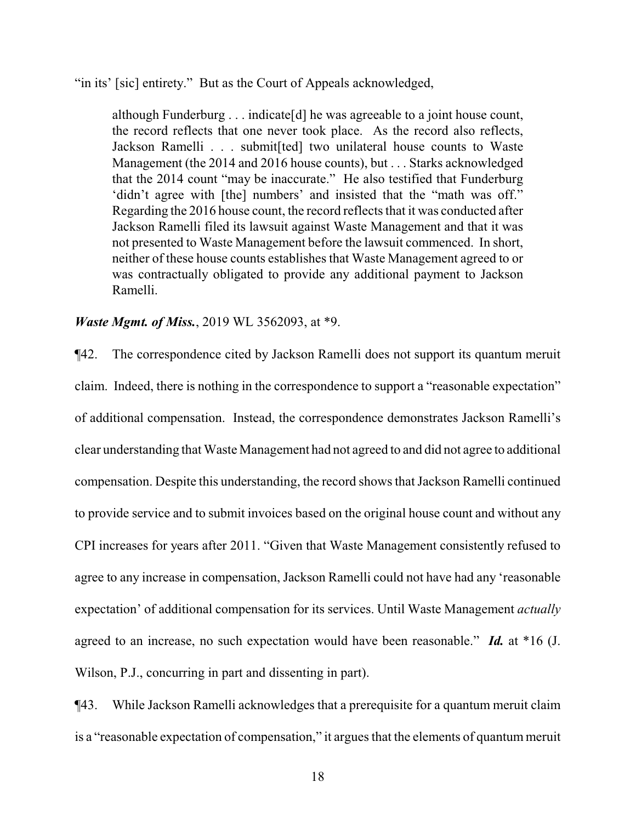"in its' [sic] entirety." But as the Court of Appeals acknowledged,

although Funderburg . . . indicate[d] he was agreeable to a joint house count, the record reflects that one never took place. As the record also reflects, Jackson Ramelli . . . submit[ted] two unilateral house counts to Waste Management (the 2014 and 2016 house counts), but . . . Starks acknowledged that the 2014 count "may be inaccurate." He also testified that Funderburg 'didn't agree with [the] numbers' and insisted that the "math was off." Regarding the 2016 house count, the record reflects that it was conducted after Jackson Ramelli filed its lawsuit against Waste Management and that it was not presented to Waste Management before the lawsuit commenced. In short, neither of these house counts establishes that Waste Management agreed to or was contractually obligated to provide any additional payment to Jackson Ramelli.

*Waste Mgmt. of Miss.*, 2019 WL 3562093, at \*9.

¶42. The correspondence cited by Jackson Ramelli does not support its quantum meruit claim. Indeed, there is nothing in the correspondence to support a "reasonable expectation" of additional compensation. Instead, the correspondence demonstrates Jackson Ramelli's clear understanding that Waste Management had not agreed to and did not agree to additional compensation. Despite this understanding, the record shows that Jackson Ramelli continued to provide service and to submit invoices based on the original house count and without any CPI increases for years after 2011. "Given that Waste Management consistently refused to agree to any increase in compensation, Jackson Ramelli could not have had any 'reasonable expectation' of additional compensation for its services. Until Waste Management *actually* agreed to an increase, no such expectation would have been reasonable." *Id.* at \*16 (J. Wilson, P.J., concurring in part and dissenting in part).

¶43. While Jackson Ramelli acknowledges that a prerequisite for a quantum meruit claim is a "reasonable expectation of compensation," it argues that the elements of quantum meruit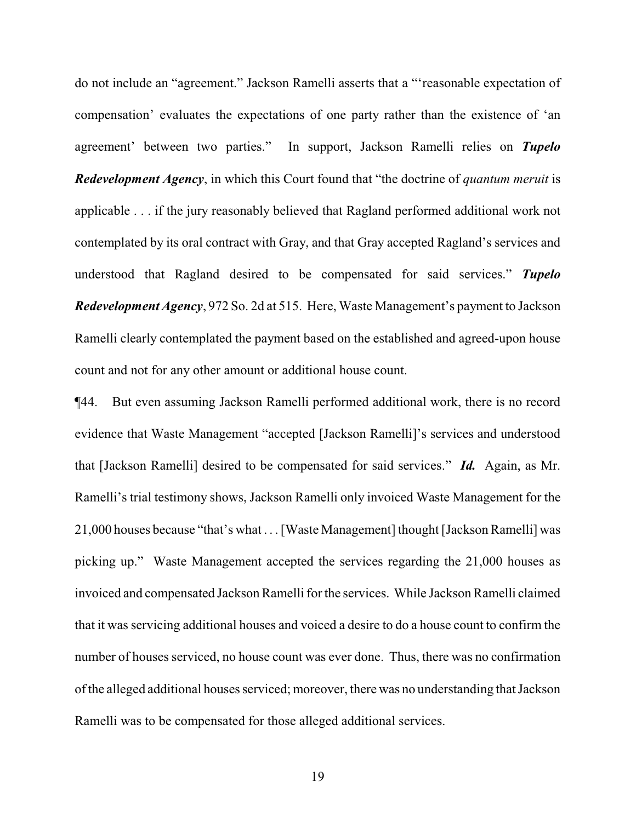do not include an "agreement." Jackson Ramelli asserts that a "'reasonable expectation of compensation' evaluates the expectations of one party rather than the existence of 'an agreement' between two parties." In support, Jackson Ramelli relies on *Tupelo Redevelopment Agency*, in which this Court found that "the doctrine of *quantum meruit* is applicable . . . if the jury reasonably believed that Ragland performed additional work not contemplated by its oral contract with Gray, and that Gray accepted Ragland's services and understood that Ragland desired to be compensated for said services." *Tupelo Redevelopment Agency*, 972 So. 2d at 515. Here, Waste Management's payment to Jackson Ramelli clearly contemplated the payment based on the established and agreed-upon house count and not for any other amount or additional house count.

¶44. But even assuming Jackson Ramelli performed additional work, there is no record evidence that Waste Management "accepted [Jackson Ramelli]'s services and understood that [Jackson Ramelli] desired to be compensated for said services." *Id.* Again, as Mr. Ramelli's trial testimony shows, Jackson Ramelli only invoiced Waste Management for the 21,000 houses because "that's what . . . [Waste Management] thought [Jackson Ramelli] was picking up." Waste Management accepted the services regarding the 21,000 houses as invoiced and compensated Jackson Ramelli for the services. While Jackson Ramelli claimed that it was servicing additional houses and voiced a desire to do a house count to confirm the number of houses serviced, no house count was ever done. Thus, there was no confirmation ofthe alleged additional houses serviced; moreover, there was no understanding that Jackson Ramelli was to be compensated for those alleged additional services.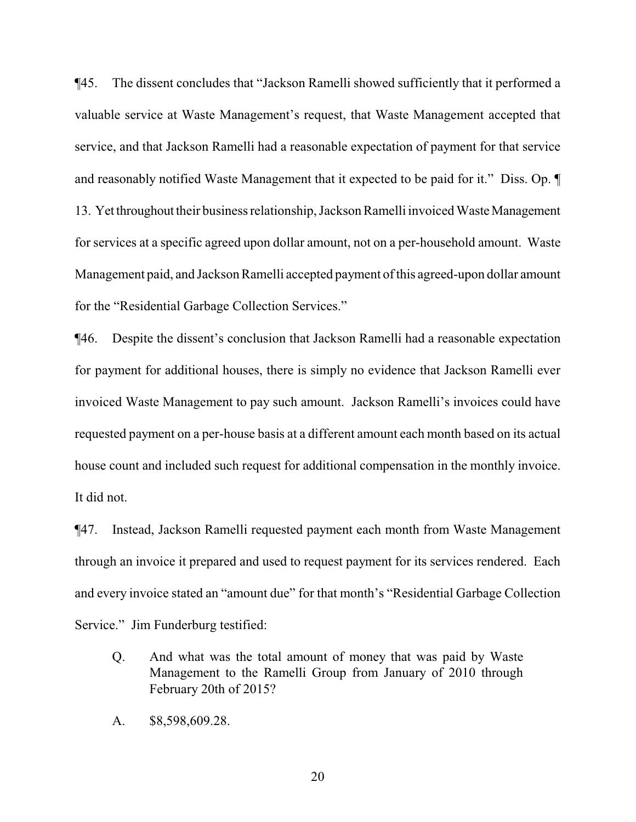¶45. The dissent concludes that "Jackson Ramelli showed sufficiently that it performed a valuable service at Waste Management's request, that Waste Management accepted that service, and that Jackson Ramelli had a reasonable expectation of payment for that service and reasonably notified Waste Management that it expected to be paid for it." Diss. Op. ¶ 13. Yet throughout their business relationship, Jackson Ramelli invoiced Waste Management for services at a specific agreed upon dollar amount, not on a per-household amount. Waste Management paid, and Jackson Ramelli accepted payment of this agreed-upon dollar amount for the "Residential Garbage Collection Services."

¶46. Despite the dissent's conclusion that Jackson Ramelli had a reasonable expectation for payment for additional houses, there is simply no evidence that Jackson Ramelli ever invoiced Waste Management to pay such amount. Jackson Ramelli's invoices could have requested payment on a per-house basis at a different amount each month based on its actual house count and included such request for additional compensation in the monthly invoice. It did not.

¶47. Instead, Jackson Ramelli requested payment each month from Waste Management through an invoice it prepared and used to request payment for its services rendered. Each and every invoice stated an "amount due" for that month's "Residential Garbage Collection Service." Jim Funderburg testified:

- Q. And what was the total amount of money that was paid by Waste Management to the Ramelli Group from January of 2010 through February 20th of 2015?
- A. \$8,598,609.28.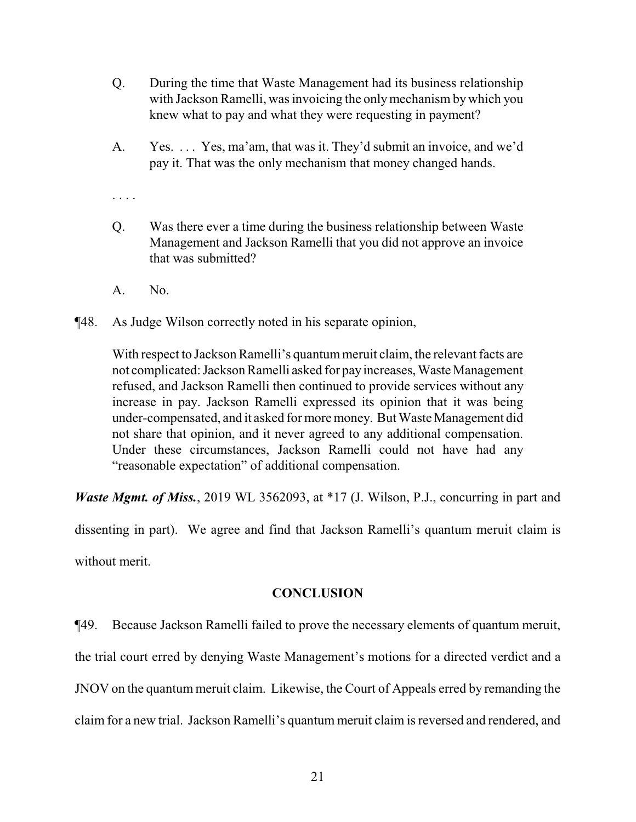- Q. During the time that Waste Management had its business relationship with Jackson Ramelli, was invoicing the onlymechanism by which you knew what to pay and what they were requesting in payment?
- A. Yes. . . . Yes, ma'am, that was it. They'd submit an invoice, and we'd pay it. That was the only mechanism that money changed hands.

. . . .

- Q. Was there ever a time during the business relationship between Waste Management and Jackson Ramelli that you did not approve an invoice that was submitted?
- A. No.
- ¶48. As Judge Wilson correctly noted in his separate opinion,

With respect to Jackson Ramelli's quantum meruit claim, the relevant facts are not complicated: Jackson Ramelli asked for payincreases, Waste Management refused, and Jackson Ramelli then continued to provide services without any increase in pay. Jackson Ramelli expressed its opinion that it was being under-compensated, and it asked for more money. But Waste Management did not share that opinion, and it never agreed to any additional compensation. Under these circumstances, Jackson Ramelli could not have had any "reasonable expectation" of additional compensation.

*Waste Mgmt. of Miss.*, 2019 WL 3562093, at \*17 (J. Wilson, P.J., concurring in part and

dissenting in part). We agree and find that Jackson Ramelli's quantum meruit claim is without merit.

## **CONCLUSION**

¶49. Because Jackson Ramelli failed to prove the necessary elements of quantum meruit, the trial court erred by denying Waste Management's motions for a directed verdict and a JNOV on the quantum meruit claim. Likewise, the Court of Appeals erred by remanding the claim for a new trial. Jackson Ramelli's quantum meruit claim is reversed and rendered, and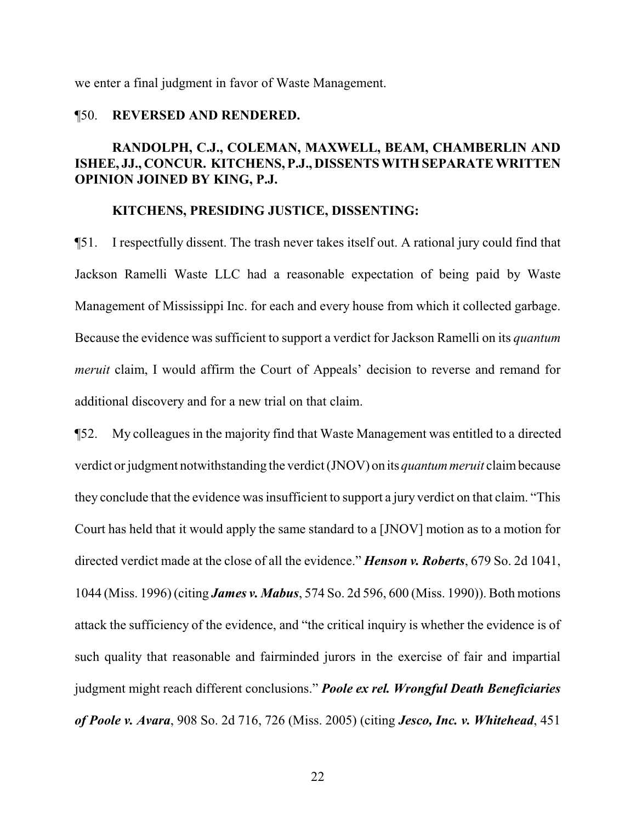we enter a final judgment in favor of Waste Management.

### ¶50. **REVERSED AND RENDERED.**

# **RANDOLPH, C.J., COLEMAN, MAXWELL, BEAM, CHAMBERLIN AND ISHEE, JJ., CONCUR. KITCHENS, P.J., DISSENTS WITH SEPARATE WRITTEN OPINION JOINED BY KING, P.J.**

## **KITCHENS, PRESIDING JUSTICE, DISSENTING:**

¶51. I respectfully dissent. The trash never takes itself out. A rational jury could find that Jackson Ramelli Waste LLC had a reasonable expectation of being paid by Waste Management of Mississippi Inc. for each and every house from which it collected garbage. Because the evidence was sufficient to support a verdict for Jackson Ramelli on its *quantum meruit* claim, I would affirm the Court of Appeals' decision to reverse and remand for additional discovery and for a new trial on that claim.

¶52. My colleagues in the majority find that Waste Management was entitled to a directed verdict or judgment notwithstanding the verdict (JNOV) on its *quantummeruit* claimbecause they conclude that the evidence was insufficient to support a jury verdict on that claim. "This Court has held that it would apply the same standard to a [JNOV] motion as to a motion for directed verdict made at the close of all the evidence." *Henson v. Roberts*, 679 So. 2d 1041, 1044 (Miss. 1996) (citing *James v. Mabus*, 574 So. 2d 596, 600 (Miss. 1990)). Both motions attack the sufficiency of the evidence, and "the critical inquiry is whether the evidence is of such quality that reasonable and fairminded jurors in the exercise of fair and impartial judgment might reach different conclusions." *Poole ex rel. Wrongful Death Beneficiaries of Poole v. Avara*, 908 So. 2d 716, 726 (Miss. 2005) (citing *Jesco, Inc. v. Whitehead*, 451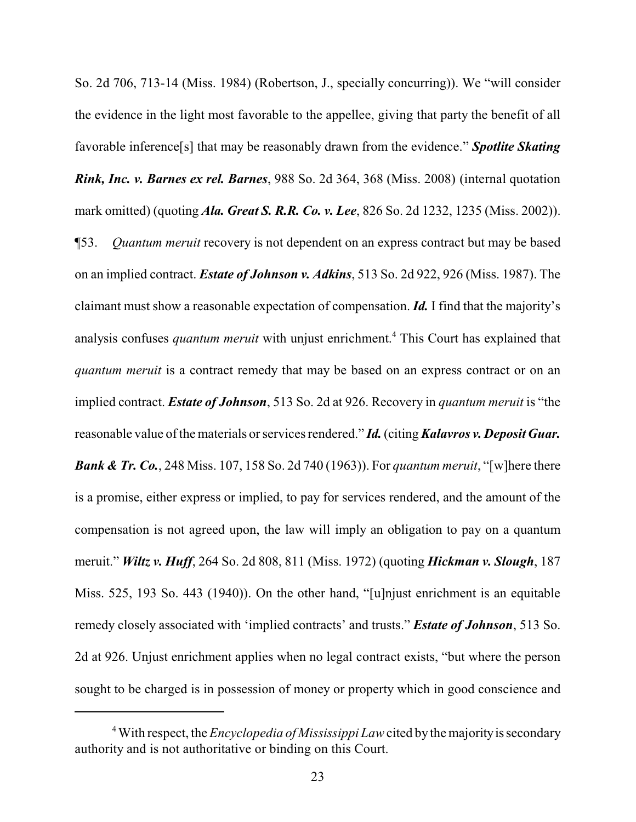So. 2d 706, 713-14 (Miss. 1984) (Robertson, J., specially concurring)). We "will consider the evidence in the light most favorable to the appellee, giving that party the benefit of all favorable inference[s] that may be reasonably drawn from the evidence." *Spotlite Skating Rink, Inc. v. Barnes ex rel. Barnes*, 988 So. 2d 364, 368 (Miss. 2008) (internal quotation mark omitted) (quoting *Ala. Great S. R.R. Co. v. Lee*, 826 So. 2d 1232, 1235 (Miss. 2002)). ¶53. *Quantum meruit* recovery is not dependent on an express contract but may be based on an implied contract. *Estate of Johnson v. Adkins*, 513 So. 2d 922, 926 (Miss. 1987). The claimant must show a reasonable expectation of compensation. *Id.* I find that the majority's analysis confuses *quantum meruit* with unjust enrichment. <sup>4</sup> This Court has explained that *quantum meruit* is a contract remedy that may be based on an express contract or on an implied contract. *Estate of Johnson*, 513 So. 2d at 926. Recovery in *quantum meruit* is "the reasonable value ofthe materials or services rendered." *Id.*(citing *Kalavros v. Deposit Guar. Bank & Tr. Co.*, 248 Miss. 107, 158 So. 2d 740 (1963)). For *quantum meruit*, "[w]here there is a promise, either express or implied, to pay for services rendered, and the amount of the compensation is not agreed upon, the law will imply an obligation to pay on a quantum meruit." *Wiltz v. Huff*, 264 So. 2d 808, 811 (Miss. 1972) (quoting *Hickman v. Slough*, 187 Miss. 525, 193 So. 443 (1940)). On the other hand, "[u]njust enrichment is an equitable remedy closely associated with 'implied contracts' and trusts." *Estate of Johnson*, 513 So. 2d at 926. Unjust enrichment applies when no legal contract exists, "but where the person sought to be charged is in possession of money or property which in good conscience and

<sup>&</sup>lt;sup>4</sup> With respect, the *Encyclopedia of Mississippi Law* cited by the majority is secondary authority and is not authoritative or binding on this Court.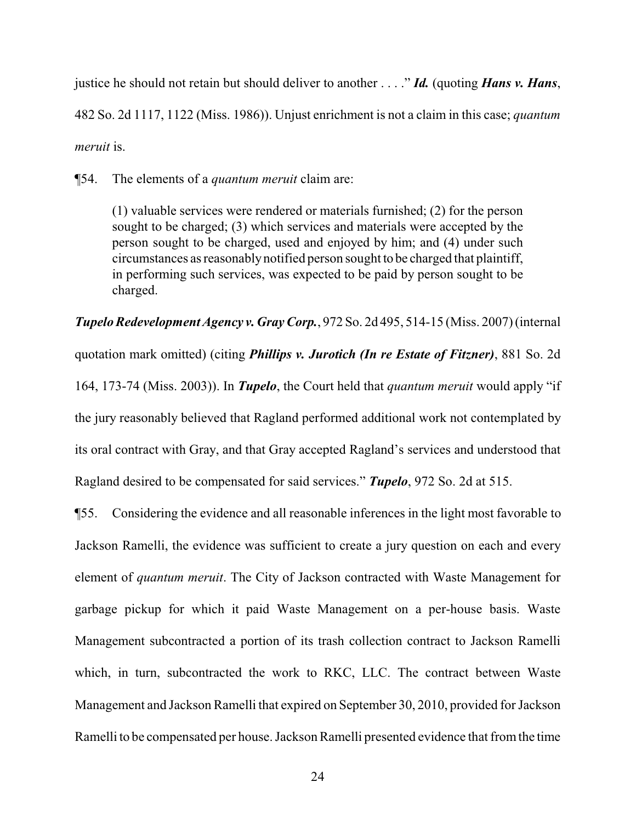justice he should not retain but should deliver to another . . . ." *Id.* (quoting *Hans v. Hans*, 482 So. 2d 1117, 1122 (Miss. 1986)). Unjust enrichment is not a claim in this case; *quantum meruit* is.

¶54. The elements of a *quantum meruit* claim are:

(1) valuable services were rendered or materials furnished; (2) for the person sought to be charged; (3) which services and materials were accepted by the person sought to be charged, used and enjoyed by him; and (4) under such circumstances as reasonablynotified person sought to be charged that plaintiff, in performing such services, was expected to be paid by person sought to be charged.

*Tupelo Redevelopment Agency v. Gray Corp.*, 972 So. 2d 495, 514-15 (Miss. 2007) (internal quotation mark omitted) (citing *Phillips v. Jurotich (In re Estate of Fitzner)*, 881 So. 2d 164, 173-74 (Miss. 2003)). In *Tupelo*, the Court held that *quantum meruit* would apply "if the jury reasonably believed that Ragland performed additional work not contemplated by its oral contract with Gray, and that Gray accepted Ragland's services and understood that Ragland desired to be compensated for said services." *Tupelo*, 972 So. 2d at 515.

¶55. Considering the evidence and all reasonable inferences in the light most favorable to Jackson Ramelli, the evidence was sufficient to create a jury question on each and every element of *quantum meruit*. The City of Jackson contracted with Waste Management for garbage pickup for which it paid Waste Management on a per-house basis. Waste Management subcontracted a portion of its trash collection contract to Jackson Ramelli which, in turn, subcontracted the work to RKC, LLC. The contract between Waste Management and Jackson Ramelli that expired on September 30, 2010, provided for Jackson Ramelli to be compensated per house. Jackson Ramelli presented evidence that fromthe time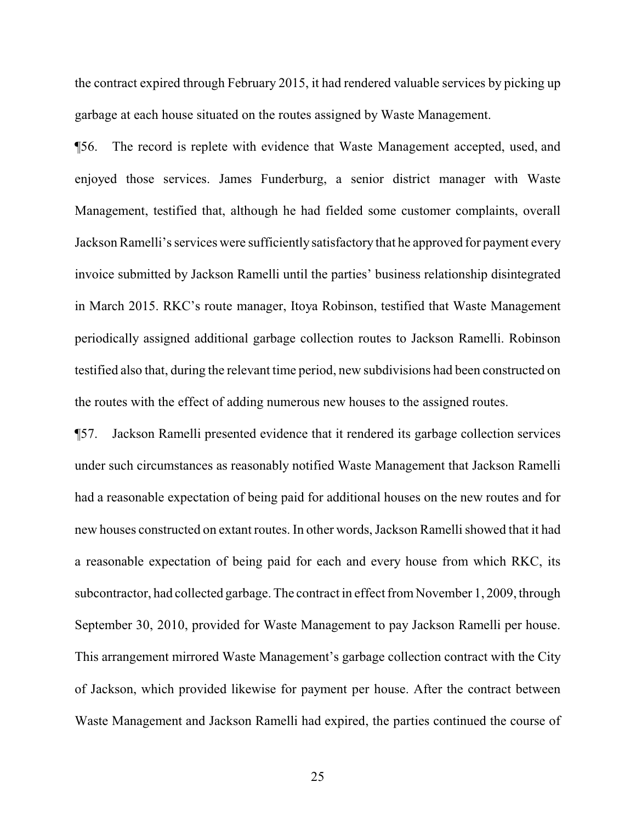the contract expired through February 2015, it had rendered valuable services by picking up garbage at each house situated on the routes assigned by Waste Management.

¶56. The record is replete with evidence that Waste Management accepted, used, and enjoyed those services. James Funderburg, a senior district manager with Waste Management, testified that, although he had fielded some customer complaints, overall Jackson Ramelli's services were sufficiently satisfactory that he approved for payment every invoice submitted by Jackson Ramelli until the parties' business relationship disintegrated in March 2015. RKC's route manager, Itoya Robinson, testified that Waste Management periodically assigned additional garbage collection routes to Jackson Ramelli. Robinson testified also that, during the relevant time period, new subdivisions had been constructed on the routes with the effect of adding numerous new houses to the assigned routes.

¶57. Jackson Ramelli presented evidence that it rendered its garbage collection services under such circumstances as reasonably notified Waste Management that Jackson Ramelli had a reasonable expectation of being paid for additional houses on the new routes and for new houses constructed on extant routes. In other words, Jackson Ramelli showed that it had a reasonable expectation of being paid for each and every house from which RKC, its subcontractor, had collected garbage. The contract in effect from November 1, 2009, through September 30, 2010, provided for Waste Management to pay Jackson Ramelli per house. This arrangement mirrored Waste Management's garbage collection contract with the City of Jackson, which provided likewise for payment per house. After the contract between Waste Management and Jackson Ramelli had expired, the parties continued the course of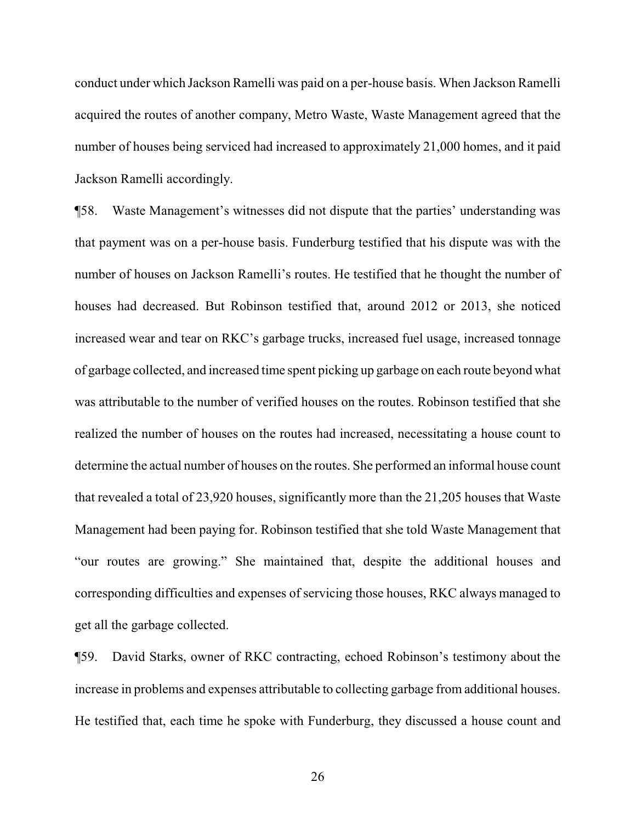conduct under which Jackson Ramelli was paid on a per-house basis. When Jackson Ramelli acquired the routes of another company, Metro Waste, Waste Management agreed that the number of houses being serviced had increased to approximately 21,000 homes, and it paid Jackson Ramelli accordingly.

¶58. Waste Management's witnesses did not dispute that the parties' understanding was that payment was on a per-house basis. Funderburg testified that his dispute was with the number of houses on Jackson Ramelli's routes. He testified that he thought the number of houses had decreased. But Robinson testified that, around 2012 or 2013, she noticed increased wear and tear on RKC's garbage trucks, increased fuel usage, increased tonnage of garbage collected, and increased time spent picking up garbage on each route beyond what was attributable to the number of verified houses on the routes. Robinson testified that she realized the number of houses on the routes had increased, necessitating a house count to determine the actual number of houses on the routes. She performed an informal house count that revealed a total of 23,920 houses, significantly more than the 21,205 houses that Waste Management had been paying for. Robinson testified that she told Waste Management that "our routes are growing." She maintained that, despite the additional houses and corresponding difficulties and expenses of servicing those houses, RKC always managed to get all the garbage collected.

¶59. David Starks, owner of RKC contracting, echoed Robinson's testimony about the increase in problems and expenses attributable to collecting garbage from additional houses. He testified that, each time he spoke with Funderburg, they discussed a house count and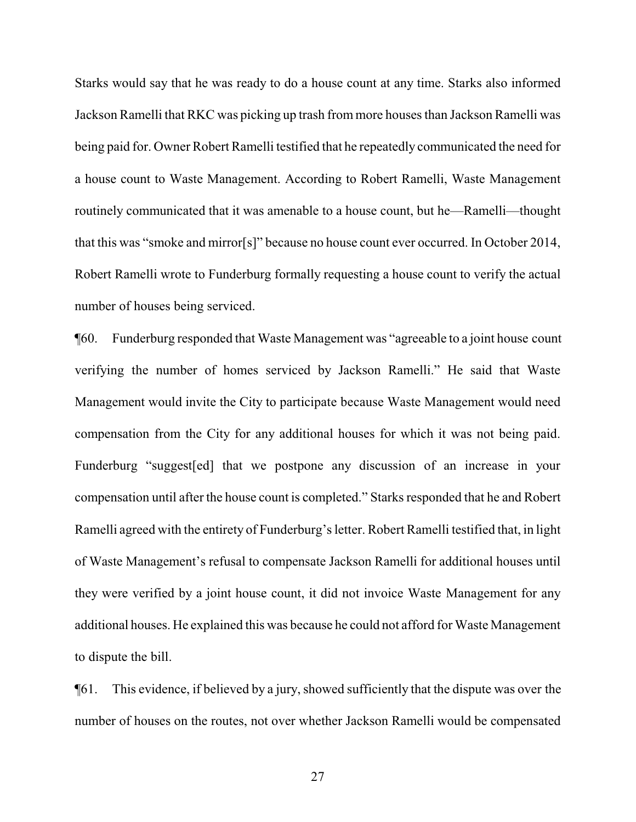Starks would say that he was ready to do a house count at any time. Starks also informed Jackson Ramelli that RKC was picking up trash from more houses than Jackson Ramelli was being paid for. Owner Robert Ramelli testified that he repeatedly communicated the need for a house count to Waste Management. According to Robert Ramelli, Waste Management routinely communicated that it was amenable to a house count, but he—Ramelli—thought that this was "smoke and mirror[s]" because no house count ever occurred. In October 2014, Robert Ramelli wrote to Funderburg formally requesting a house count to verify the actual number of houses being serviced.

¶60. Funderburg responded that Waste Management was "agreeable to a joint house count verifying the number of homes serviced by Jackson Ramelli." He said that Waste Management would invite the City to participate because Waste Management would need compensation from the City for any additional houses for which it was not being paid. Funderburg "suggest[ed] that we postpone any discussion of an increase in your compensation until after the house count is completed." Starks responded that he and Robert Ramelli agreed with the entirety of Funderburg's letter. Robert Ramelli testified that, in light of Waste Management's refusal to compensate Jackson Ramelli for additional houses until they were verified by a joint house count, it did not invoice Waste Management for any additional houses. He explained this was because he could not afford for Waste Management to dispute the bill.

¶61. This evidence, if believed by a jury, showed sufficiently that the dispute was over the number of houses on the routes, not over whether Jackson Ramelli would be compensated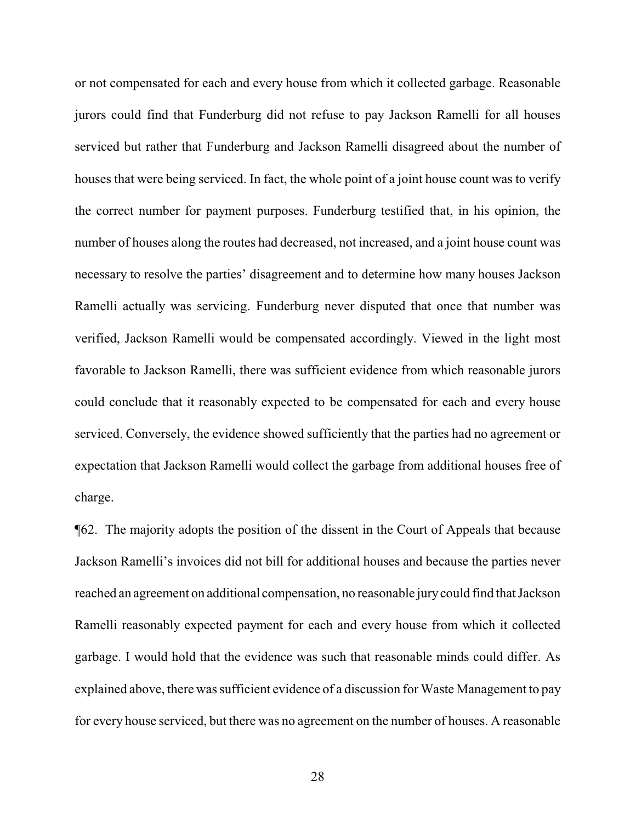or not compensated for each and every house from which it collected garbage. Reasonable jurors could find that Funderburg did not refuse to pay Jackson Ramelli for all houses serviced but rather that Funderburg and Jackson Ramelli disagreed about the number of houses that were being serviced. In fact, the whole point of a joint house count was to verify the correct number for payment purposes. Funderburg testified that, in his opinion, the number of houses along the routes had decreased, not increased, and a joint house count was necessary to resolve the parties' disagreement and to determine how many houses Jackson Ramelli actually was servicing. Funderburg never disputed that once that number was verified, Jackson Ramelli would be compensated accordingly. Viewed in the light most favorable to Jackson Ramelli, there was sufficient evidence from which reasonable jurors could conclude that it reasonably expected to be compensated for each and every house serviced. Conversely, the evidence showed sufficiently that the parties had no agreement or expectation that Jackson Ramelli would collect the garbage from additional houses free of charge.

¶62. The majority adopts the position of the dissent in the Court of Appeals that because Jackson Ramelli's invoices did not bill for additional houses and because the parties never reached an agreement on additional compensation, no reasonable jurycould find that Jackson Ramelli reasonably expected payment for each and every house from which it collected garbage. I would hold that the evidence was such that reasonable minds could differ. As explained above, there was sufficient evidence of a discussion for Waste Management to pay for every house serviced, but there was no agreement on the number of houses. A reasonable